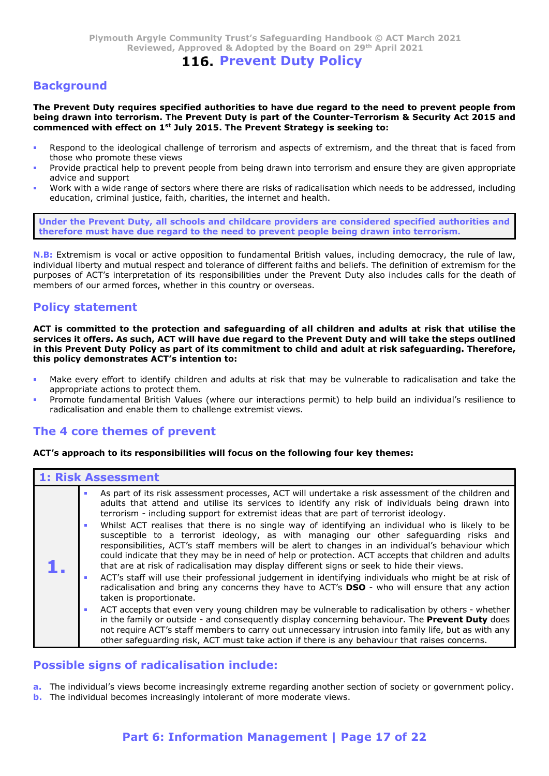# 116. Prevent Duty Policy

# **Background**

The Prevent Duty requires specified authorities to have due regard to the need to prevent people from being drawn into terrorism. The Prevent Duty is part of the Counter-Terrorism & Security Act 2015 and commenced with effect on  $1<sup>st</sup>$  July 2015. The Prevent Strategy is seeking to:

- Respond to the ideological challenge of terrorism and aspects of extremism, and the threat that is faced from those who promote these views
- Provide practical help to prevent people from being drawn into terrorism and ensure they are given appropriate advice and support
- Work with a wide range of sectors where there are risks of radicalisation which needs to be addressed, including education, criminal justice, faith, charities, the internet and health.

Under the Prevent Duty, all schools and childcare providers are considered specified authorities and therefore must have due regard to the need to prevent people being drawn into terrorism.

N.B: Extremism is vocal or active opposition to fundamental British values, including democracy, the rule of law, individual liberty and mutual respect and tolerance of different faiths and beliefs. The definition of extremism for the purposes of ACT's interpretation of its responsibilities under the Prevent Duty also includes calls for the death of members of our armed the proposition of the sole of all children and adults at risk that utilise the present of our armed forces, whether in this country or overseas.<br> **Propose of the Counter-Terrorism as Security Act 2015** 

# Policy statement

**Background**<br>The Prevent Duty requires specified authorities to have due regard to the need to prevent people from<br>
being drawn into terrorism. The Prevent Duty is part of the Counter-Terrorism & Security Act 2015 and<br>
co The Prevent Duty requires specified authorities to have due regard to the need to prevent people from<br>
commenced with effect on 1<sup>14</sup> July 2015. The Prevent Datty is part of the Counter-Terrorism & Security Act 2015 and<br>
P in this Prevent Duty Policy as part of its commitment to child and adult at risk safeguarding. Therefore, this policy demonstrates ACT's intention to:

- Make every effort to identify children and adults at risk that may be vulnerable to radicalisation and take the appropriate actions to protect them.
- Promote fundamental British Values (where our interactions permit) to help build an individual's resilience to radicalisation and enable them to challenge extremist views.

# The 4 core themes of prevent

### ACT's approach to its responsibilities will focus on the following four key themes:

|                | <b>N.B:</b> Extremism is vocal or active opposition to fundamental British values, including democracy, the rule of law,<br>individual liberty and mutual respect and tolerance of different faiths and beliefs. The definition of extremism for the<br>purposes of ACT's interpretation of its responsibilities under the Prevent Duty also includes calls for the death of<br>members of our armed forces, whether in this country or overseas.                                                                                                                                                                                                                                                                                                                                                                                                                                                                                                                                                                                                                                                                                                                                                                                                                                                                                                                                                                                                               |
|----------------|-----------------------------------------------------------------------------------------------------------------------------------------------------------------------------------------------------------------------------------------------------------------------------------------------------------------------------------------------------------------------------------------------------------------------------------------------------------------------------------------------------------------------------------------------------------------------------------------------------------------------------------------------------------------------------------------------------------------------------------------------------------------------------------------------------------------------------------------------------------------------------------------------------------------------------------------------------------------------------------------------------------------------------------------------------------------------------------------------------------------------------------------------------------------------------------------------------------------------------------------------------------------------------------------------------------------------------------------------------------------------------------------------------------------------------------------------------------------|
|                | <b>Policy statement</b>                                                                                                                                                                                                                                                                                                                                                                                                                                                                                                                                                                                                                                                                                                                                                                                                                                                                                                                                                                                                                                                                                                                                                                                                                                                                                                                                                                                                                                         |
|                | ACT is committed to the protection and safeguarding of all children and adults at risk that utilise the<br>services it offers. As such, ACT will have due regard to the Prevent Duty and will take the steps outlined<br>in this Prevent Duty Policy as part of its commitment to child and adult at risk safeguarding. Therefore,<br>this policy demonstrates ACT's intention to:                                                                                                                                                                                                                                                                                                                                                                                                                                                                                                                                                                                                                                                                                                                                                                                                                                                                                                                                                                                                                                                                              |
| $\blacksquare$ | Make every effort to identify children and adults at risk that may be vulnerable to radicalisation and take the<br>appropriate actions to protect them.<br>Promote fundamental British Values (where our interactions permit) to help build an individual's resilience to<br>radicalisation and enable them to challenge extremist views.                                                                                                                                                                                                                                                                                                                                                                                                                                                                                                                                                                                                                                                                                                                                                                                                                                                                                                                                                                                                                                                                                                                       |
|                | The 4 core themes of prevent                                                                                                                                                                                                                                                                                                                                                                                                                                                                                                                                                                                                                                                                                                                                                                                                                                                                                                                                                                                                                                                                                                                                                                                                                                                                                                                                                                                                                                    |
|                | ACT's approach to its responsibilities will focus on the following four key themes:                                                                                                                                                                                                                                                                                                                                                                                                                                                                                                                                                                                                                                                                                                                                                                                                                                                                                                                                                                                                                                                                                                                                                                                                                                                                                                                                                                             |
|                | <b>1: Risk Assessment</b>                                                                                                                                                                                                                                                                                                                                                                                                                                                                                                                                                                                                                                                                                                                                                                                                                                                                                                                                                                                                                                                                                                                                                                                                                                                                                                                                                                                                                                       |
| ı.             | As part of its risk assessment processes, ACT will undertake a risk assessment of the children and<br>adults that attend and utilise its services to identify any risk of individuals being drawn into<br>terrorism - including support for extremist ideas that are part of terrorist ideology.<br>Whilst ACT realises that there is no single way of identifying an individual who is likely to be<br>susceptible to a terrorist ideology, as with managing our other safeguarding risks and<br>responsibilities, ACT's staff members will be alert to changes in an individual's behaviour which<br>could indicate that they may be in need of help or protection. ACT accepts that children and adults<br>that are at risk of radicalisation may display different signs or seek to hide their views.<br>ACT's staff will use their professional judgement in identifying individuals who might be at risk of<br>radicalisation and bring any concerns they have to ACT's DSO - who will ensure that any action<br>taken is proportionate.<br>ACT accepts that even very young children may be vulnerable to radicalisation by others - whether<br>in the family or outside - and consequently display concerning behaviour. The Prevent Duty does<br>not require ACT's staff members to carry out unnecessary intrusion into family life, but as with any<br>other safeguarding risk, ACT must take action if there is any behaviour that raises concerns. |
|                | <b>Possible signs of radicalisation include:</b>                                                                                                                                                                                                                                                                                                                                                                                                                                                                                                                                                                                                                                                                                                                                                                                                                                                                                                                                                                                                                                                                                                                                                                                                                                                                                                                                                                                                                |
|                | a. The individual's views become increasingly extreme regarding another section of society or government policy.<br><b>b.</b> The individual becomes increasingly intolerant of more moderate views.                                                                                                                                                                                                                                                                                                                                                                                                                                                                                                                                                                                                                                                                                                                                                                                                                                                                                                                                                                                                                                                                                                                                                                                                                                                            |
|                | Part 6: Information Management   Page 17 of 22                                                                                                                                                                                                                                                                                                                                                                                                                                                                                                                                                                                                                                                                                                                                                                                                                                                                                                                                                                                                                                                                                                                                                                                                                                                                                                                                                                                                                  |

## Possible signs of radicalisation include: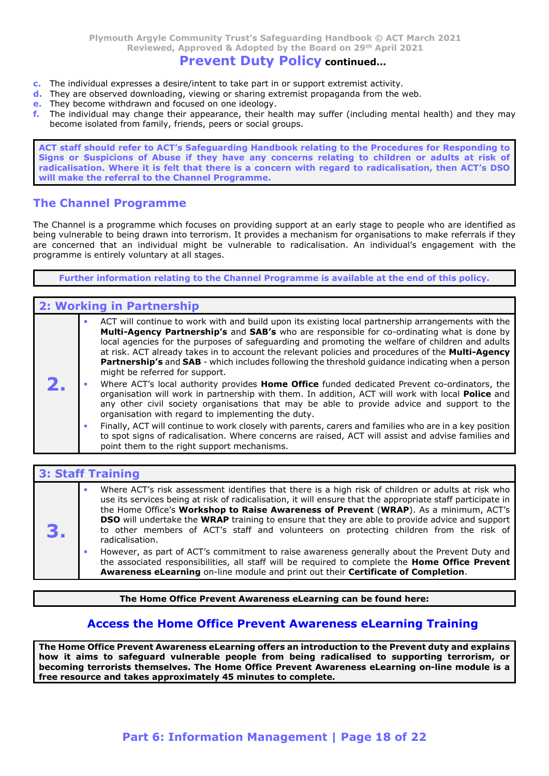# Prevent Duty Policy continued…

- c. The individual expresses a desire/intent to take part in or support extremist activity.
- d. They are observed downloading, viewing or sharing extremist propaganda from the web.
- e. They become withdrawn and focused on one ideology.
- f. The individual may change their appearance, their health may suffer (including mental health) and they may become isolated from family, friends, peers or social groups.

Plymouth Argyle Community Trust's Safeguarding Handbook  $\odot$  ACT March 2021<br>
Reviewed, Approved & Adopted by the Board on 29<sup>th</sup> April 2021<br> **Prevent Duty Policy continued...**<br>
The individual expresses a desire/intent to Signs or Suspicions of Abuse if they have any concerns relating to children or adults at risk of radicalisation. Where it is felt that there is a concern with regard to radicalisation, then ACT's DSO will make the referral to the Channel Programme.

## The Channel Programme

The Channel is a programme which focuses on providing support at an early stage to people who are identified as being vulnerable to being drawn into terrorism. It provides a mechanism for organisations to make referrals if they are concerned that an individual might be vulnerable to radicalisation. An individual's engagement with the programme is entirely voluntary at all stages.

Further information relating to the Channel Programme is available at the end of this policy.

## 2: Working in Partnership

|                                                                                                          |  | ACT will continue to work with and build upon its existing local partnership arrangements with the             |  |
|----------------------------------------------------------------------------------------------------------|--|----------------------------------------------------------------------------------------------------------------|--|
| <b>Multi-Agency Partnership's</b> and <b>SAB's</b> who are responsible for co-ordinating what is done by |  |                                                                                                                |  |
|                                                                                                          |  | local agencies for the purposes of safeguarding and promoting the welfare of children and adults               |  |
|                                                                                                          |  | at risk. ACT already takes in to account the relevant policies and procedures of the Multi-Agency              |  |
|                                                                                                          |  | <b>Partnership's</b> and <b>SAB</b> - which includes following the threshold guidance indicating when a person |  |
|                                                                                                          |  | might be referred for support.                                                                                 |  |
| Z. .                                                                                                     |  | Where ACT's local authority provides <b>Home Office</b> funded dedicated Prevent co-ordinators, the            |  |
|                                                                                                          |  | organisation will work in partnership with them. In addition, ACT will work with local Police and              |  |

- any other civil society organisations that may be able to provide advice and support to the organisation with regard to implementing the duty.
	- Finally, ACT will continue to work closely with parents, carers and families who are in a key position to spot signs of radicalisation. Where concerns are raised, ACT will assist and advise families and point them to the right support mechanisms.

|    | to spot signs of radicalisation. Where concerns are raised, ACT will assist and advise families and<br>point them to the right support mechanisms.                                                                                                                                                                                                                                                                                                                                                                                     |
|----|----------------------------------------------------------------------------------------------------------------------------------------------------------------------------------------------------------------------------------------------------------------------------------------------------------------------------------------------------------------------------------------------------------------------------------------------------------------------------------------------------------------------------------------|
|    |                                                                                                                                                                                                                                                                                                                                                                                                                                                                                                                                        |
|    | <b>3: Staff Training</b>                                                                                                                                                                                                                                                                                                                                                                                                                                                                                                               |
| З. | Where ACT's risk assessment identifies that there is a high risk of children or adults at risk who<br>use its services being at risk of radicalisation, it will ensure that the appropriate staff participate in<br>the Home Office's Workshop to Raise Awareness of Prevent (WRAP). As a minimum, ACT's<br><b>DSO</b> will undertake the <b>WRAP</b> training to ensure that they are able to provide advice and support<br>to other members of ACT's staff and volunteers on protecting children from the risk of<br>radicalisation. |
|    | However, as part of ACT's commitment to raise awareness generally about the Prevent Duty and<br>the associated responsibilities, all staff will be required to complete the Home Office Prevent<br>Awareness eLearning on-line module and print out their Certificate of Completion.                                                                                                                                                                                                                                                   |
|    | The Home Office Prevent Awareness eLearning can be found here:                                                                                                                                                                                                                                                                                                                                                                                                                                                                         |
|    | <b>Access the Home Office Prevent Awareness eLearning Training</b>                                                                                                                                                                                                                                                                                                                                                                                                                                                                     |
|    | The Home Office Prevent Awareness eLearning offers an introduction to the Prevent duty and explains                                                                                                                                                                                                                                                                                                                                                                                                                                    |

# Access the Home Office Prevent Awareness eLearning Training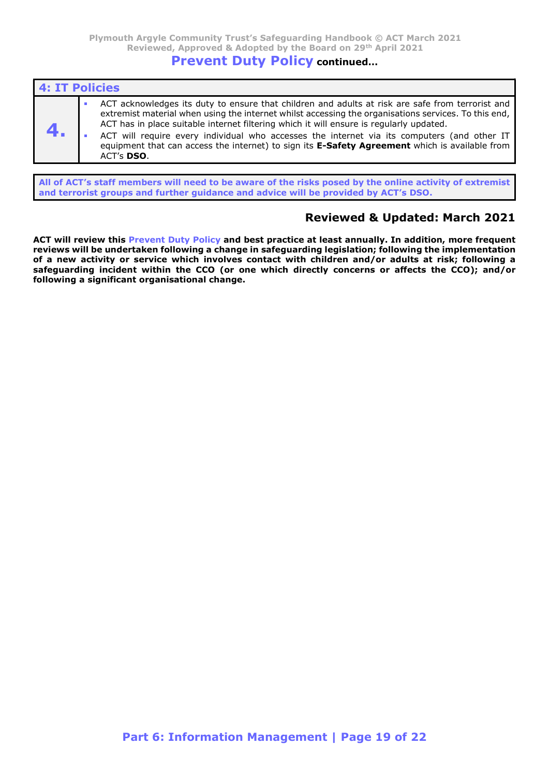# Prevent Duty Policy continued…

| 4: IT Policies |                                                                                                                                                                                                                                                                                                                                                                                                                                                                                                                           |
|----------------|---------------------------------------------------------------------------------------------------------------------------------------------------------------------------------------------------------------------------------------------------------------------------------------------------------------------------------------------------------------------------------------------------------------------------------------------------------------------------------------------------------------------------|
|                | ACT acknowledges its duty to ensure that children and adults at risk are safe from terrorist and<br>extremist material when using the internet whilst accessing the organisations services. To this end,<br>ACT has in place suitable internet filtering which it will ensure is regularly updated.<br>ACT will require every individual who accesses the internet via its computers (and other IT<br>equipment that can access the internet) to sign its <b>E-Safety Agreement</b> which is available from<br>ACT's DSO. |

All of ACT's staff members will need to be aware of the risks posed by the online activity of extremist and terrorist groups and further guidance and advice will be provided by ACT's DSO.

# Reviewed & Updated: March 2021

ACT will review this Prevent Duty Policy and best practice at least annually. In addition, more frequent reviews will be undertaken following a change in safeguarding legislation; following the implementation of a new activity or service which involves contact with children and/or adults at risk; following a safeguarding incident within the CCO (or one which directly concerns or affects the CCO); and/or following a significant organisational change.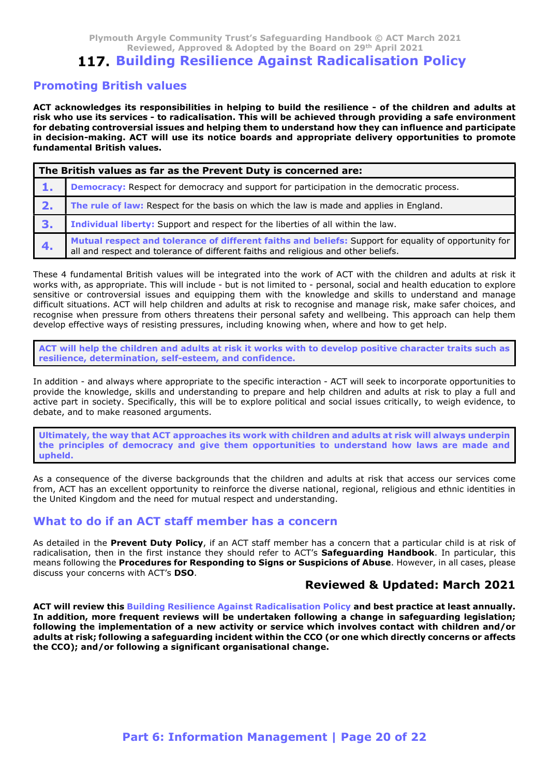Plymouth Argyle Community Trust's Safeguarding Handbook © ACT March 2021<br>Reviewed, Approved & Adopted by the Board on 29<sup>th</sup> April 2021<br>**17. Building Resilience Against Radicalisation Policy**<br>In British values h Argyle Community Trust's Safeguarding Handbook © ACT March 2021<br>Reviewed, Approved & Adopted by the Board on 29<sup>th</sup> April 2021<br>**uilding Resilience Against Radicalisation Policy**<br>ish values

# **117. Building Resilience Against Radicalisation Policy**

### Promoting British values

Plymouth Argyle Community Trust's Safeguarding Handbook © ACT March 2021<br>Reviewed, Approved & Adopted by the Board on 29<sup>th</sup> April 2021<br>**117. Building Resilience Against Radicalisation Policy**<br>**Promoting British values**<br>AC Plymouth Argyle Community Trust's Safeguarding Handbook © ACT March 2021<br>Reviewed, Approved & Adopted by the Board on 29<sup>th</sup> April 2021<br>**117. Building Resilience Against Radicalisation Policy**<br>**Promoting British values**<br>AC For Plymouth Argyle Community Trust's Safeguarding Handbook © ACT March 2021<br>Reviewed, Approved & Adopted by the Board on 29<sup>th</sup> April 2021<br>**117. Building Resilience Against Radicalisation Policy**<br>**Promoting British values** Plymouth Argyle Community Trust's Safeguarding Handbook © ACT March 2021<br>Reviewed, Approved & Adopted by the Board on 29<sup>th</sup> April 2021<br>**117. Building Resilience Against Radicalisation Policy**<br>**Promoting British values**<br>AC fundamental British values.

|                | Plymouth Argyle Community Trust's Safeguarding Handbook © ACT March 2021<br>Reviewed, Approved & Adopted by the Board on 29th April 2021<br>117. Building Resilience Against Radicalisation Policy                                                                                                                                                                                                                                                                                                                                                                                                                                                                                                            |
|----------------|---------------------------------------------------------------------------------------------------------------------------------------------------------------------------------------------------------------------------------------------------------------------------------------------------------------------------------------------------------------------------------------------------------------------------------------------------------------------------------------------------------------------------------------------------------------------------------------------------------------------------------------------------------------------------------------------------------------|
|                | <b>Promoting British values</b>                                                                                                                                                                                                                                                                                                                                                                                                                                                                                                                                                                                                                                                                               |
|                | ACT acknowledges its responsibilities in helping to build the resilience - of the children and adults at<br>risk who use its services - to radicalisation. This will be achieved through providing a safe environment<br>for debating controversial issues and helping them to understand how they can influence and participate<br>in decision-making. ACT will use its notice boards and appropriate delivery opportunities to promote<br>fundamental British values.                                                                                                                                                                                                                                       |
|                | The British values as far as the Prevent Duty is concerned are:                                                                                                                                                                                                                                                                                                                                                                                                                                                                                                                                                                                                                                               |
| $\mathbf{1}$ . | <b>Democracy: Respect for democracy and support for participation in the democratic process.</b>                                                                                                                                                                                                                                                                                                                                                                                                                                                                                                                                                                                                              |
| 2.             | The rule of law: Respect for the basis on which the law is made and applies in England.                                                                                                                                                                                                                                                                                                                                                                                                                                                                                                                                                                                                                       |
| 3.             | Individual liberty: Support and respect for the liberties of all within the law.                                                                                                                                                                                                                                                                                                                                                                                                                                                                                                                                                                                                                              |
| 4.             | Mutual respect and tolerance of different faiths and beliefs: Support for equality of opportunity for<br>all and respect and tolerance of different faiths and religious and other beliefs.                                                                                                                                                                                                                                                                                                                                                                                                                                                                                                                   |
|                | These 4 fundamental British values will be integrated into the work of ACT with the children and adults at risk it<br>works with, as appropriate. This will include - but is not limited to - personal, social and health education to explore<br>sensitive or controversial issues and equipping them with the knowledge and skills to understand and manage<br>difficult situations. ACT will help children and adults at risk to recognise and manage risk, make safer choices, and<br>recognise when pressure from others threatens their personal safety and wellbeing. This approach can help them<br>develop effective ways of resisting pressures, including knowing when, where and how to get help. |
|                | ACT will help the children and adults at risk it works with to develop positive character traits such as<br>resilience, determination, self-esteem, and confidence.                                                                                                                                                                                                                                                                                                                                                                                                                                                                                                                                           |
|                | In addition - and always where appropriate to the specific interaction - ACT will seek to incorporate opportunities to<br>provide the knowledge, skills and understanding to prepare and help children and adults at risk to play a full and<br>active part in society. Specifically, this will be to explore political and social issues critically, to weigh evidence, to<br>debate, and to make reasoned arguments.                                                                                                                                                                                                                                                                                        |
| upheld.        | Ultimately, the way that ACT approaches its work with children and adults at risk will always underpin<br>the principles of democracy and give them opportunities to understand how laws are made and                                                                                                                                                                                                                                                                                                                                                                                                                                                                                                         |
|                | As a consequence of the diverse backgrounds that the children and adults at risk that access our services come<br>from ACT has an excellent opportunity to reinforce the diverse national regional religious and ethnic identities in                                                                                                                                                                                                                                                                                                                                                                                                                                                                         |

sensitive or controversial issues and equipping them with the knowledge and skills to understand and manage recognise when pressure from others threatens their personal safety and wellbeing. This approach can help them develop effective ways of resisting pressures, including knowing when, where and how to get help. 4. Mutual respect and tolerance of different faiths and beliefs: Support for equality of opportunity for<br>These 4 fundamental British values will be integrated into the work of ACT with the children and adults at risk it<br>w From the third is appropriate to the method of the state of the state of the state of the state of the state of the state of ACT with the children and adults at risk it Theorem works with a supported with a supported with mest - into interest to incompute that work is not a much in the formulation to explore the station of explore<br>works with, as appropriate. This will include - but is not limited to - personal, social and health education t

active part in society. Specifically, this will be to explore political and social issues critically, to weigh evidence, to debate, and to make reasoned arguments. difficult situations. ACT will help children and addits at risk to reconnets and manage risk, make safe of the content<br>afficult situations. AcT will help children and addits at risk to reconnets and manage risk, make safe

the United Kingdom and the need for mutual respect and understanding.

radicalisation, then in the first instance they should refer to ACT's Safeguarding Handbook. In particular, this means following the Procedures for Responding to Signs or Suspicions of Abuse. However, in all cases, please discuss your concerns with ACT's DSO.

## Reviewed & Updated: March 2021

and the need for mutual respect and understanding.<br>
In ACT staff member has a concern<br>
event Duty Policy, if an ACT staff member has a concern<br>
event Duty Policy, if an ACT staff member has a concern<br>
that instants that in **The standard Construction** and the method of the specific interaction - ACT will seek to incorporate opportunities to<br>a provide the knowledge, skills and understanding to prepare and help children and adults at risk to pl In addition, more frequent reviews will be undertaken following a change in safeguarding legislation; following the implementation of a new activity or service which involves contact with children and/or adults at risk; following a safeguarding incident within the CCO (or one which directly concerns or affects the CCO); and/or following a significant organisational change.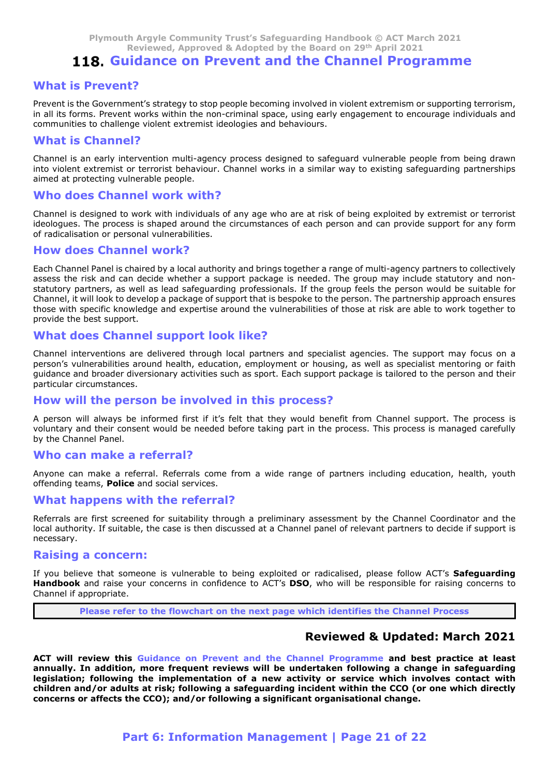# 118. Guidance on Prevent and the Channel Programme

## What is Prevent?

Prevent is the Government's strategy to stop people becoming involved in violent extremism or supporting terrorism, in all its forms. Prevent works within the non-criminal space, using early engagement to encourage individuals and communities to challenge violent extremist ideologies and behaviours.

### What is Channel?

Channel is an early intervention multi-agency process designed to safeguard vulnerable people from being drawn into violent extremist or terrorist behaviour. Channel works in a similar way to existing safeguarding partnerships aimed at protecting vulnerable people.

### Who does Channel work with?

Channel is designed to work with individuals of any age who are at risk of being exploited by extremist or terrorist ideologues. The process is shaped around the circumstances of each person and can provide support for any form of radicalisation or personal vulnerabilities.

## How does Channel work?

Each Channel Panel is chaired by a local authority and brings together a range of multi-agency partners to collectively assess the risk and can decide whether a support package is needed. The group may include statutory and nonstatutory partners, as well as lead safeguarding professionals. If the group feels the person would be suitable for Channel, it will look to develop a package of support that is bespoke to the person. The partnership approach ensures those with specific knowledge and expertise around the vulnerabilities of those at risk are able to work together to provide the best support.

## What does Channel support look like?

Channel interventions are delivered through local partners and specialist agencies. The support may focus on a person's vulnerabilities around health, education, employment or housing, as well as specialist mentoring or faith guidance and broader diversionary activities such as sport. Each support package is tailored to the person and their particular circumstances.

## How will the person be involved in this process?

A person will always be informed first if it's felt that they would benefit from Channel support. The process is voluntary and their consent would be needed before taking part in the process. This process is managed carefully by the Channel Panel.

## Who can make a referral?

Anyone can make a referral. Referrals come from a wide range of partners including education, health, youth offending teams, Police and social services.

## What happens with the referral?

Referrals are first screened for suitability through a preliminary assessment by the Channel Coordinator and the local authority. If suitable, the case is then discussed at a Channel panel of relevant partners to decide if support is necessary.

### Raising a concern:

If you believe that someone is vulnerable to being exploited or radicalised, please follow ACT's Safeguarding Handbook and raise your concerns in confidence to ACT's DSO, who will be responsible for raising concerns to Channel if appropriate.

Please refer to the flowchart on the next page which identifies the Channel Process

## Reviewed & Updated: March 2021

with the referral?<br>
reened for suitability through a preliminary assessment by the Channel Coordinator and the<br>
able, the case is then discussed at a Channel panel of relevant partners to decide if support is<br> **ern:**<br>
Part A person will always be informed first if its felt that they would benefit from Channel support. The process is<br>
by the Channel Panel.<br>
Woll ocan make a referral Referral and the channel Panel.<br>
Anyone can make a referral annually. In addition, more frequent reviews will be undertaken following a change in safeguarding legislation; following the implementation of a new activity or service which involves contact with children and/or adults at risk; following a safeguarding incident within the CCO (or one which directly concerns or affects the CCO); and/or following a significant organisational change.